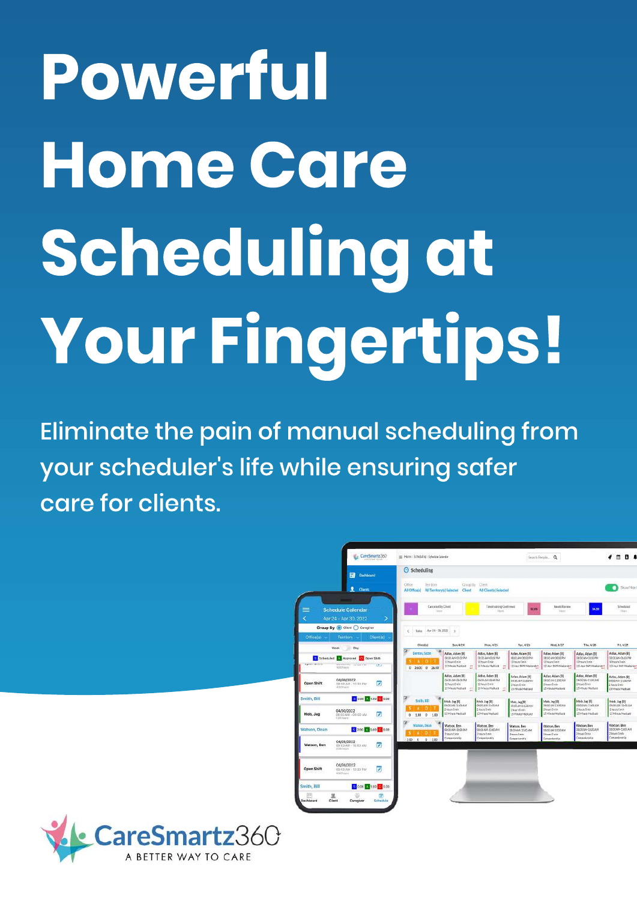# Powerful Home Care Scheduling at Your Fingertips!

Eliminate the pain of manual scheduling from your scheduler's life while ensuring safer care for clients.



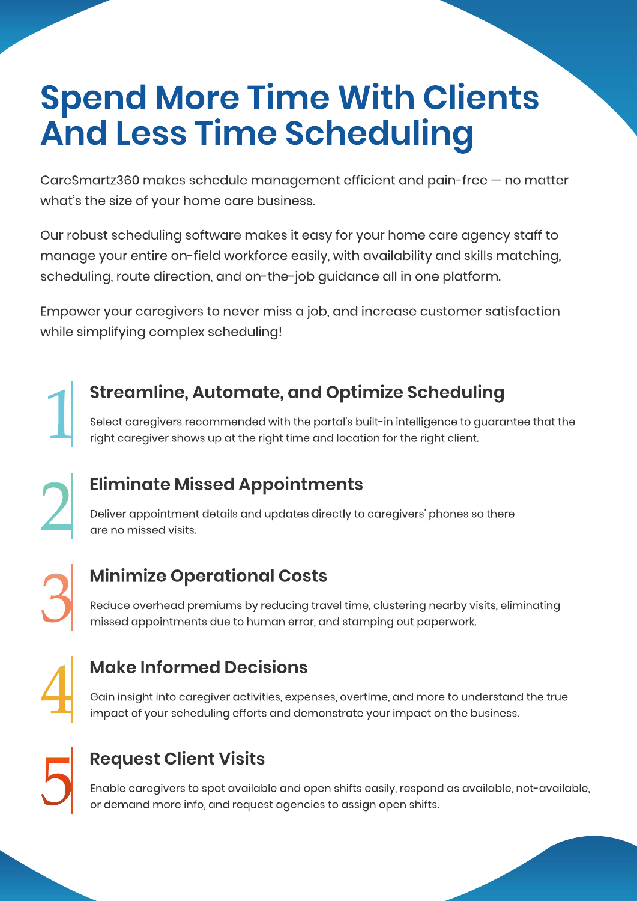# **Spend More Time With Clients And Less Time Scheduling**

CareSmartz360 makes schedule management efficient and pain-free – no matter what's the size of your home care business.

Our robust scheduling software makes it easy for your home care agency staff to manage your entire on-field workforce easily, with availability and skills matching, scheduling, route direction, and on-the-job guidance all in one platform.

Empower your caregivers to never miss a job, and increase customer satisfaction while simplifying complex scheduling!

Select caregivers recommended with the portal's built-in intelligence to guarantee that the **17 Streamline, Automate, and Optimize Scheduling**<br>Select caregivers recommended with the portal's built-in intelligence to guarar<br>right caregiver shows up at the right time and location for the right client.

Deliver appointment details and updates directly to caregivers' phones so there **Eliminate Missed Appointments**<br>Deliver appointment details and updates directly to a<br>are no missed visits.

## **Minimize Operational Costs**

Reduce overhead premiums by reducing travel time, clustering nearby visits, eliminating Minimize Operational Costs<br>Reduce overhead premiums by reducing travel time, clustering nearby vis<br>missed appointments due to human error, and stamping out paperwork.



## **MakeInformedDecisions**

Gain insight into caregiver activities, expenses, overtime, and more to understand the true impact of your scheduling efforts and demonstrate your impact on the business.



## **Request Client Visits**

Enable caregivers to spot available and open shifts easily, respond as available, not-available, Request Client Visits<br>Enable caregivers to spot available and open shifts easily, respond<br>or demand more info, and request agencies to assign open shifts.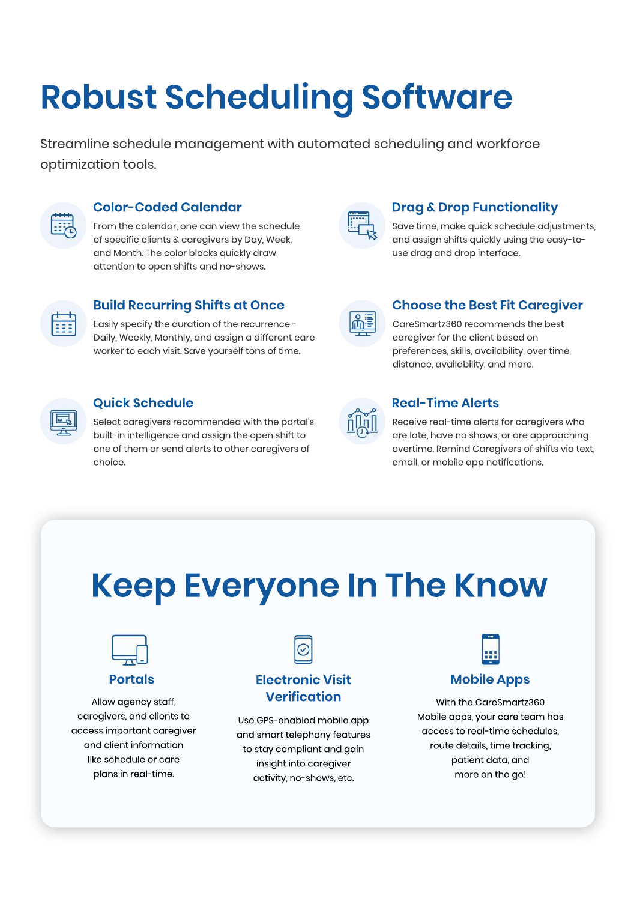# **Robust Scheduling Software**

Streamline schedule management with automated scheduling and workforce optimization tools.



#### **Color-CodedCalendar**

From the calendar, one can view the schedule of specific clients & caregivers by Day, Week, and Month. The color blocks quickly draw attention to open shifts and no-shows.



#### **Drag & Drop Functionality**

Save time, make quick schedule adjustments, and assign shifts quickly using the easy-touse drag and drop interface.



#### **Build Recurring Shifts at Once**

Easily specify the duration of the recurrence -Daily, Weekly, Monthly, and assign a different care worker to each visit. Save yourself tons of time.

#### **Quick Schedule**

Select caregivers recommended with the portal's built-in intelligence and assign the open shift to one of them or send alerts to other caregivers of choice.

### **Choose the Best Fit Caregiver**

CareSmartz360 recommends the best caregiver for the client based on preferences, skills, availability, over time, distance, availability, and more.

#### **Real-Time Alerts**

Receive real-time alerts for caregivers who are late, have no shows, or are approaching overtime. Remind Caregivers of shifts via text, email, or mobile app notifications.

# **Keep Everyone In The Know**



**Portals**

Allow agency staff, caregivers, and clients to access important caregiver and client information like schedule or care plans in real-time.



#### **Electronic Visit Verification**

Use GPS-enabled mobile app and smart telephony features to stay compliant and gain insight into caregiver activity, no-shows, etc.

#### **MobileApps**

With the CareSmartz360 Mobile apps, your care team has access to real-time schedules, route details, time tracking, patient data, and more on the go!